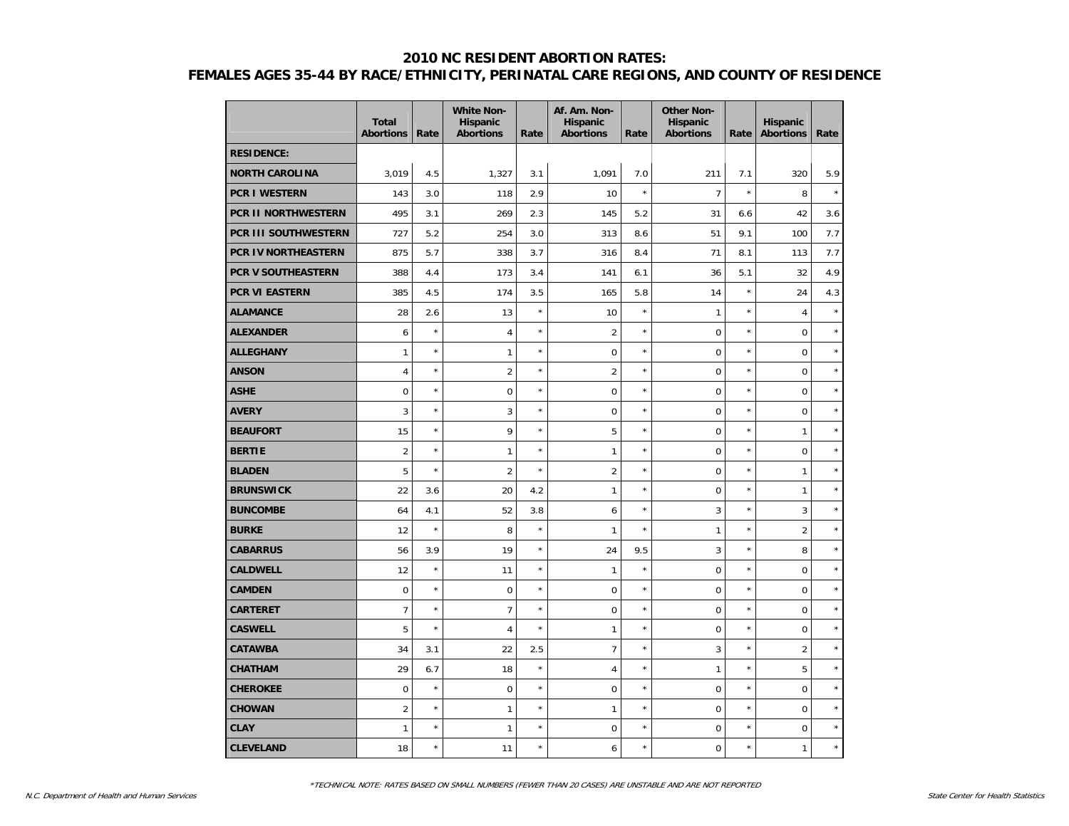|                           | <b>Total</b><br><b>Abortions</b> | Rate       | <b>White Non-</b><br><b>Hispanic</b><br><b>Abortions</b> | Rate    | Af. Am. Non-<br><b>Hispanic</b><br><b>Abortions</b> | Rate    | <b>Other Non-</b><br><b>Hispanic</b><br><b>Abortions</b> | Rate       | <b>Hispanic</b><br><b>Abortions</b> | Rate    |
|---------------------------|----------------------------------|------------|----------------------------------------------------------|---------|-----------------------------------------------------|---------|----------------------------------------------------------|------------|-------------------------------------|---------|
| <b>RESIDENCE:</b>         |                                  |            |                                                          |         |                                                     |         |                                                          |            |                                     |         |
| <b>NORTH CAROLINA</b>     | 3,019                            | 4.5        | 1,327                                                    | 3.1     | 1,091                                               | 7.0     | 211                                                      | 7.1        | 320                                 | 5.9     |
| <b>PCR I WESTERN</b>      | 143                              | 3.0        | 118                                                      | 2.9     | 10                                                  | $\star$ | $\overline{7}$                                           | $\star$    | 8                                   | $\star$ |
| PCR II NORTHWESTERN       | 495                              | 3.1        | 269                                                      | 2.3     | 145                                                 | 5.2     | 31                                                       | 6.6        | 42                                  | 3.6     |
| PCR III SOUTHWESTERN      | 727                              | 5.2        | 254                                                      | 3.0     | 313                                                 | 8.6     | 51                                                       | 9.1        | 100                                 | 7.7     |
| PCR IV NORTHEASTERN       | 875                              | 5.7        | 338                                                      | 3.7     | 316                                                 | 8.4     | 71                                                       | 8.1        | 113                                 | 7.7     |
| <b>PCR V SOUTHEASTERN</b> | 388                              | 4.4        | 173                                                      | 3.4     | 141                                                 | 6.1     | 36                                                       | 5.1        | 32                                  | 4.9     |
| <b>PCR VI EASTERN</b>     | 385                              | 4.5        | 174                                                      | 3.5     | 165                                                 | 5.8     | 14                                                       | $\star$    | 24                                  | 4.3     |
| <b>ALAMANCE</b>           | 28                               | 2.6        | 13                                                       | $\star$ | 10                                                  | $\star$ | $\mathbf{1}$                                             | $\star$    | 4                                   | $\star$ |
| <b>ALEXANDER</b>          | 6                                | $\star$    | $\overline{4}$                                           | $\star$ | $\overline{2}$                                      | $\star$ | $\mathbf 0$                                              | $\star$    | 0                                   | $\star$ |
| <b>ALLEGHANY</b>          | $\mathbf{1}$                     | $\star$    | $\mathbf{1}$                                             | $\star$ | $\mathbf 0$                                         | $\star$ | $\mathbf 0$                                              | $^{\star}$ | $\mathbf 0$                         | $\star$ |
| <b>ANSON</b>              | $\overline{4}$                   | $\star$    | $\overline{2}$                                           | $\star$ | $\overline{2}$                                      | $\star$ | $\mathbf 0$                                              | $\star$    | $\overline{0}$                      | $\star$ |
| <b>ASHE</b>               | 0                                | $\star$    | $\mathbf 0$                                              | $\star$ | $\mathbf 0$                                         | $\star$ | $\mathbf 0$                                              | $^{\star}$ | $\overline{0}$                      | $\star$ |
| <b>AVERY</b>              | 3                                | $\star$    | 3                                                        | $\star$ | $\pmb{0}$                                           | $\star$ | $\mathbf 0$                                              | $\star$    | $\boldsymbol{0}$                    | $\star$ |
| <b>BEAUFORT</b>           | 15                               | $\star$    | 9                                                        | $\star$ | 5                                                   | $\star$ | $\mathbf 0$                                              | $\star$    | $\mathbf{1}$                        | $\star$ |
| <b>BERTIE</b>             | $\overline{2}$                   | $^{\star}$ | $\mathbf{1}$                                             | $\star$ | $\mathbf{1}$                                        | $\star$ | $\mathbf 0$                                              | $\star$    | $\mathbf 0$                         | $\star$ |
| <b>BLADEN</b>             | 5                                | $\star$    | $\overline{2}$                                           | $\star$ | $\overline{2}$                                      | $\star$ | $\mathbf 0$                                              | $\star$    | $\mathbf{1}$                        | $\star$ |
| <b>BRUNSWICK</b>          | 22                               | 3.6        | 20                                                       | 4.2     | $\mathbf{1}$                                        | $\star$ | $\mathbf 0$                                              | $^{\star}$ | $\mathbf{1}$                        | $\star$ |
| <b>BUNCOMBE</b>           | 64                               | 4.1        | 52                                                       | 3.8     | 6                                                   | $\star$ | 3                                                        | $^{\star}$ | 3                                   | $\star$ |
| <b>BURKE</b>              | 12                               | $\star$    | 8                                                        | $\star$ | $\mathbf{1}$                                        | $\star$ | $\mathbf{1}$                                             | $\star$    | $\overline{2}$                      | $\star$ |
| <b>CABARRUS</b>           | 56                               | 3.9        | 19                                                       | $\star$ | 24                                                  | 9.5     | $\mathbf{3}$                                             | $\star$    | 8                                   | $\star$ |
| <b>CALDWELL</b>           | 12                               | $\star$    | 11                                                       | $\star$ | $\mathbf{1}$                                        | $\star$ | $\mathbf 0$                                              | ×          | $\mathbf 0$                         | $\star$ |
| <b>CAMDEN</b>             | 0                                | $\star$    | $\mathbf 0$                                              | $\star$ | $\mathbf 0$                                         | $\star$ | $\mathbf 0$                                              | $\star$    | $\overline{0}$                      | $\star$ |
| <b>CARTERET</b>           | $\overline{7}$                   | $\star$    | $\overline{7}$                                           | $\star$ | $\mathbf 0$                                         | $\star$ | $\mathbf 0$                                              | $^{\star}$ | $\mathbf 0$                         | $\star$ |
| <b>CASWELL</b>            | 5                                | $\star$    | $\overline{4}$                                           | $\star$ | $\mathbf{1}$                                        | $\star$ | $\mathbf 0$                                              | $^{\star}$ | 0                                   | $\star$ |
| <b>CATAWBA</b>            | 34                               | 3.1        | 22                                                       | 2.5     | $\overline{7}$                                      | $\star$ | $\overline{3}$                                           | $\star$    | $\overline{c}$                      | $\star$ |
| <b>CHATHAM</b>            | 29                               | 6.7        | 18                                                       | $\star$ | $\overline{4}$                                      | $\star$ | $\mathbf{1}$                                             | $\star$    | 5                                   | $\star$ |
| <b>CHEROKEE</b>           | $\mathbf 0$                      | $\star$    | $\mathbf 0$                                              | $\star$ | $\mathbf 0$                                         | $\star$ | $\mathbf 0$                                              | $^{\star}$ | $\mathbf 0$                         | $\star$ |
| <b>CHOWAN</b>             | $\overline{2}$                   | $\star$    | $\mathbf{1}$                                             | $\star$ | $\mathbf{1}$                                        | $\star$ | $\mathbf 0$                                              | $^{\star}$ | $\overline{0}$                      | $\star$ |
| <b>CLAY</b>               | $\mathbf{1}$                     |            | $\mathbf{1}$                                             | $\star$ | $\pmb{0}$                                           | $\star$ | $\mathbf 0$                                              | $\star$    | 0                                   | $\star$ |
| <b>CLEVELAND</b>          | 18                               | $\star$    | 11                                                       | $\star$ | 6                                                   | $\star$ | $\mathbf 0$                                              | $\star$    | $\mathbf{1}$                        | $\star$ |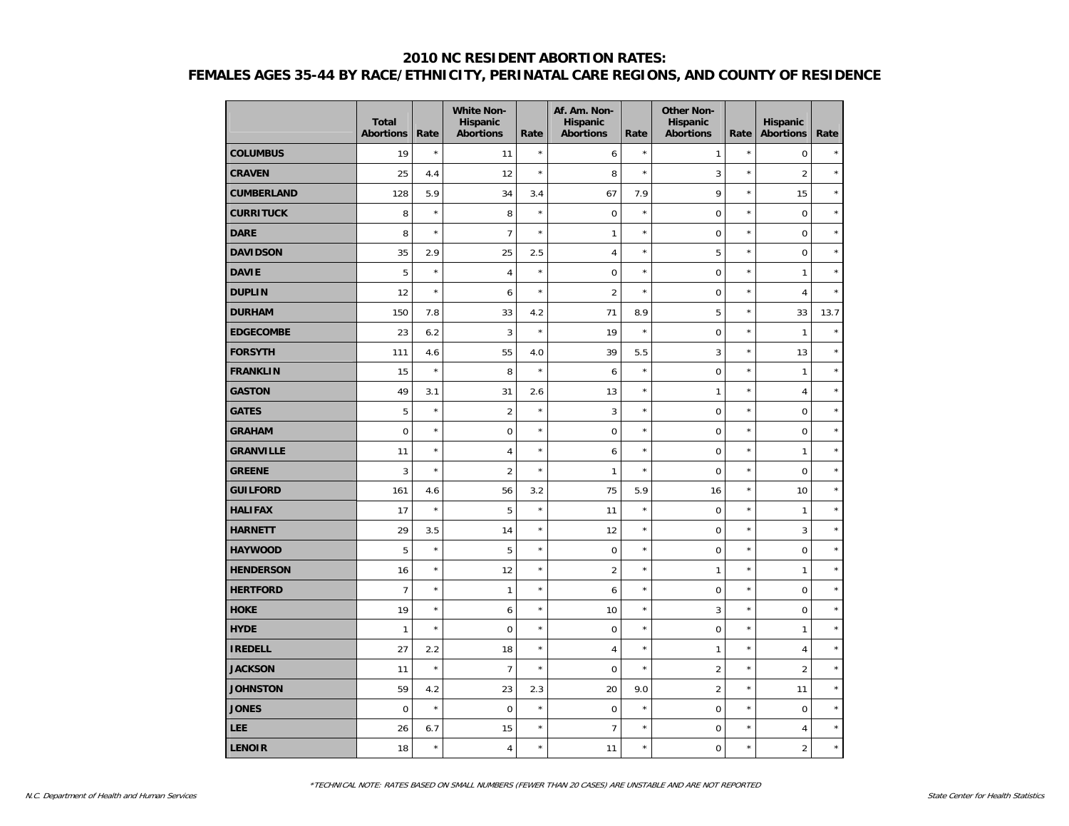|                   | <b>Total</b><br><b>Abortions</b> | Rate    | <b>White Non-</b><br><b>Hispanic</b><br><b>Abortions</b> | Rate    | Af. Am. Non-<br>Hispanic<br><b>Abortions</b> | Rate       | <b>Other Non-</b><br><b>Hispanic</b><br><b>Abortions</b> | Rate       | Hispanic<br><b>Abortions</b> | Rate    |
|-------------------|----------------------------------|---------|----------------------------------------------------------|---------|----------------------------------------------|------------|----------------------------------------------------------|------------|------------------------------|---------|
| <b>COLUMBUS</b>   | 19                               | $\star$ | 11                                                       | $\star$ | 6                                            | $\star$    | 1                                                        | $\star$    | $\mathbf 0$                  | $\star$ |
| <b>CRAVEN</b>     | 25                               | 4.4     | 12                                                       | $\star$ | 8                                            | $\star$    | 3                                                        | $\star$    | 2                            | $\star$ |
| <b>CUMBERLAND</b> | 128                              | 5.9     | 34                                                       | 3.4     | 67                                           | 7.9        | 9                                                        | $\star$    | 15                           | $\star$ |
| <b>CURRITUCK</b>  | 8                                | $\star$ | 8                                                        | $\star$ | $\mathbf 0$                                  | $\star$    | $\mathbf 0$                                              | $\star$    | $\pmb{0}$                    | $\star$ |
| <b>DARE</b>       | 8                                | $\star$ | $\overline{7}$                                           | $\star$ | 1                                            | $^{\star}$ | $\mathbf 0$                                              | $^{\star}$ | $\mathbf 0$                  | $\star$ |
| <b>DAVIDSON</b>   | 35                               | 2.9     | 25                                                       | 2.5     | 4                                            | $^{\star}$ | 5                                                        | $\star$    | $\mathbf 0$                  | $\star$ |
| <b>DAVIE</b>      | 5                                | $\star$ | $\overline{4}$                                           | $\star$ | $\mathbf 0$                                  | $^{\star}$ | $\mathbf 0$                                              | $\star$    | $\mathbf{1}$                 | $\star$ |
| <b>DUPLIN</b>     | 12                               | $\star$ | 6                                                        | $\star$ | $\overline{2}$                               | $^{\star}$ | $\mathbf 0$                                              | $\star$    | $\overline{4}$               | $\star$ |
| <b>DURHAM</b>     | 150                              | 7.8     | 33                                                       | 4.2     | 71                                           | 8.9        | 5                                                        | $\star$    | 33                           | 13.7    |
| <b>EDGECOMBE</b>  | 23                               | 6.2     | 3                                                        | $\star$ | 19                                           | $\star$    | $\mathbf 0$                                              | $\star$    | $\mathbf{1}$                 | $\star$ |
| <b>FORSYTH</b>    | 111                              | 4.6     | 55                                                       | 4.0     | 39                                           | 5.5        | 3                                                        | $^{\star}$ | 13                           | $\star$ |
| <b>FRANKLIN</b>   | 15                               | $\star$ | 8                                                        | $\star$ | 6                                            | $^{\star}$ | $\mathbf 0$                                              | $\star$    | $\mathbf{1}$                 | $\star$ |
| <b>GASTON</b>     | 49                               | 3.1     | 31                                                       | 2.6     | 13                                           | $^{\star}$ | $\mathbf{1}$                                             | $\star$    | $\overline{4}$               | $\star$ |
| <b>GATES</b>      | 5                                | $\star$ | $\overline{2}$                                           | $\star$ | 3                                            | $^{\star}$ | $\mathbf 0$                                              | $\star$    | $\pmb{0}$                    | $\star$ |
| <b>GRAHAM</b>     | $\mathbf 0$                      | $\star$ | $\overline{0}$                                           | $\star$ | $\mathbf 0$                                  | $\star$    | $\mathbf 0$                                              | $\star$    | $\mathbf 0$                  | $\star$ |
| <b>GRANVILLE</b>  | 11                               | $\star$ | $\overline{4}$                                           | $\star$ | 6                                            | $\star$    | $\mathbf 0$                                              | $^{\star}$ | $\mathbf{1}$                 | $\star$ |
| <b>GREENE</b>     | 3                                | $\star$ | $\overline{2}$                                           | $\star$ | $\mathbf{1}$                                 | $^{\star}$ | $\overline{0}$                                           | $\star$    | $\mathbf 0$                  | $\star$ |
| <b>GUILFORD</b>   | 161                              | 4.6     | 56                                                       | 3.2     | 75                                           | 5.9        | 16                                                       | $\star$    | 10                           | $\star$ |
| <b>HALIFAX</b>    | 17                               | $\star$ | 5                                                        | $\star$ | 11                                           | $^{\star}$ | $\mathbf 0$                                              | $\star$    | $\mathbf{1}$                 | $\star$ |
| <b>HARNETT</b>    | 29                               | 3.5     | 14                                                       | $\star$ | 12                                           | $\star$    | $\mathbf 0$                                              | $\star$    | 3                            | $\star$ |
| <b>HAYWOOD</b>    | 5                                | $\star$ | 5                                                        | $\star$ | $\mathbf 0$                                  | $\star$    | $\mathbf 0$                                              | $\star$    | $\mathbf 0$                  | $\star$ |
| <b>HENDERSON</b>  | 16                               | $\star$ | 12                                                       | $\star$ | $\overline{2}$                               | $^{\star}$ | 1                                                        | $\star$    | $\mathbf{1}$                 | $\star$ |
| <b>HERTFORD</b>   | $\overline{7}$                   | $\star$ | $\mathbf{1}$                                             | $\star$ | 6                                            | $\star$    | $\mathbf 0$                                              | $\star$    | $\mathbf 0$                  | $\star$ |
| <b>HOKE</b>       | 19                               | $\star$ | 6                                                        | $\star$ | 10                                           | $\star$    | 3                                                        | $\star$    | $\mathbf 0$                  | $\star$ |
| <b>HYDE</b>       | $\mathbf{1}$                     | $\star$ | $\mathbf 0$                                              | $\star$ | $\mathbf 0$                                  | $^{\star}$ | $\mathbf 0$                                              | $\star$    | $\mathbf{1}$                 | $\star$ |
| <b>IREDELL</b>    | 27                               | 2.2     | 18                                                       | $\star$ | 4                                            | $\star$    | $\mathbf{1}$                                             | $\star$    | $\overline{4}$               | $\star$ |
| <b>JACKSON</b>    | 11                               | $\star$ | $\overline{7}$                                           | $\star$ | $\mathbf 0$                                  | $\star$    | $\overline{2}$                                           | $\star$    | $\overline{2}$               | $\star$ |
| <b>JOHNSTON</b>   | 59                               | 4.2     | 23                                                       | 2.3     | 20                                           | 9.0        | $\overline{2}$                                           | $^{\star}$ | 11                           | $\star$ |
| <b>JONES</b>      | $\mathbf 0$                      | $\star$ | $\mathbf 0$                                              | $\star$ | $\mathbf 0$                                  | $^{\star}$ | $\mathbf 0$                                              | $\star$    | $\mathbf 0$                  | $\star$ |
| <b>LEE</b>        | 26                               | 6.7     | 15                                                       | $\star$ | $\overline{7}$                               | $^{\star}$ | $\mathbf 0$                                              | $\star$    | $\overline{4}$               | $\star$ |
| <b>LENOIR</b>     | 18                               | $\star$ | $\overline{4}$                                           | $\star$ | 11                                           | $\star$    | $\mathbf 0$                                              | $\star$    | $\overline{2}$               | $\star$ |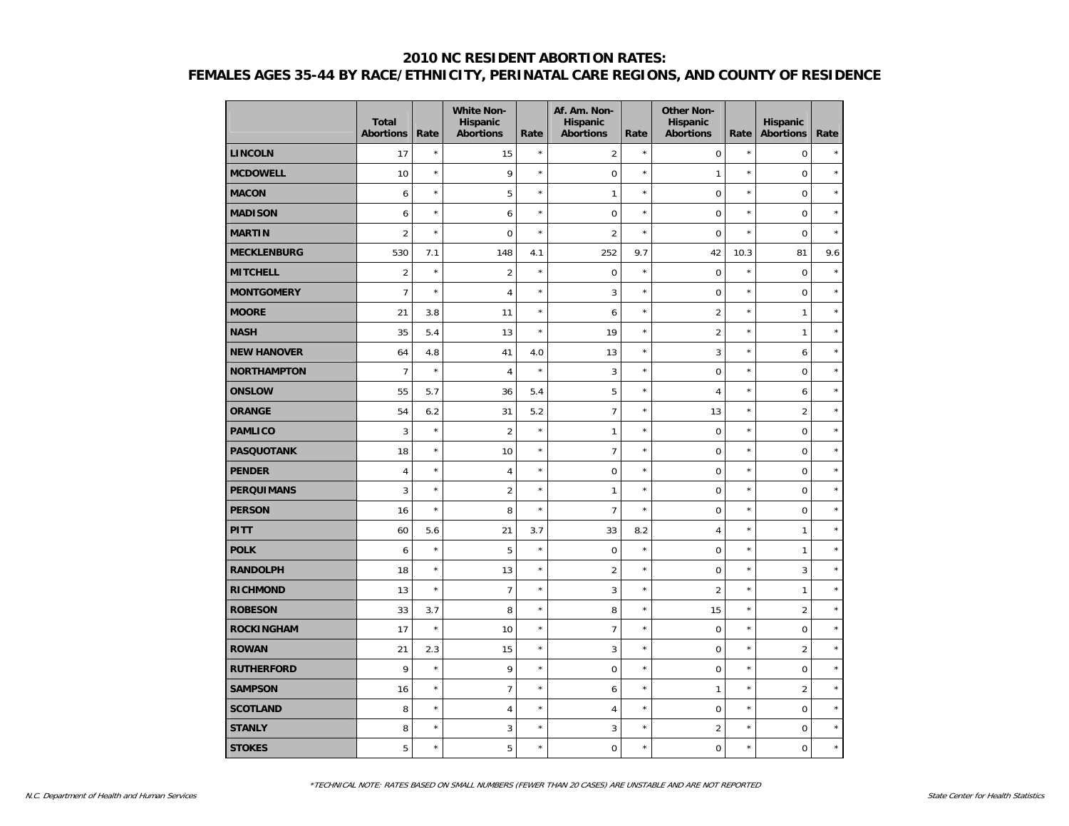|                    | <b>Total</b><br><b>Abortions</b> | Rate    | <b>White Non-</b><br>Hispanic<br><b>Abortions</b> | Rate       | Af. Am. Non-<br>Hispanic<br><b>Abortions</b> | Rate       | <b>Other Non-</b><br><b>Hispanic</b><br><b>Abortions</b> | Rate       | <b>Hispanic</b><br><b>Abortions</b> | Rate    |
|--------------------|----------------------------------|---------|---------------------------------------------------|------------|----------------------------------------------|------------|----------------------------------------------------------|------------|-------------------------------------|---------|
| <b>LINCOLN</b>     | 17                               | $\star$ | 15                                                | $\star$    | $\overline{2}$                               | $\star$    | $\pmb{0}$                                                | $\star$    | $\mathbf 0$                         | $\star$ |
| <b>MCDOWELL</b>    | 10                               | $\star$ | 9                                                 | $\star$    | $\pmb{0}$                                    | $\star$    | 1                                                        | $\star$    | $\mathbf 0$                         | $\star$ |
| <b>MACON</b>       | 6                                | $\star$ | 5                                                 | $\star$    | $\mathbf{1}$                                 | $\star$    | $\mathbf 0$                                              | $\star$    | $\mathbf 0$                         | $\star$ |
| <b>MADISON</b>     | 6                                | $\star$ | 6                                                 | $\star$    | $\mathbf 0$                                  | $\star$    | $\mathbf 0$                                              | $\star$    | $\mathbf 0$                         | $\star$ |
| <b>MARTIN</b>      | $\overline{2}$                   | $\star$ | $\mathbf 0$                                       | $\star$    | $\overline{2}$                               | $\star$    | $\mathbf 0$                                              | $\star$    | $\mathbf 0$                         | $\star$ |
| <b>MECKLENBURG</b> | 530                              | 7.1     | 148                                               | 4.1        | 252                                          | 9.7        | 42                                                       | 10.3       | 81                                  | 9.6     |
| <b>MITCHELL</b>    | $\overline{2}$                   | $\star$ | $\overline{2}$                                    | $\star$    | $\pmb{0}$                                    | $\star$    | $\mathbf 0$                                              | $\star$    | $\mathbf 0$                         | $\star$ |
| <b>MONTGOMERY</b>  | $\overline{7}$                   | $\star$ | $\overline{4}$                                    | $\star$    | 3                                            | $\star$    | $\mathbf 0$                                              | $\star$    | $\mathbf 0$                         | $\star$ |
| <b>MOORE</b>       | 21                               | 3.8     | 11                                                | $\star$    | 6                                            | $\star$    | $\overline{2}$                                           | $\star$    | $\mathbf{1}$                        | $\star$ |
| <b>NASH</b>        | 35                               | 5.4     | 13                                                | $\star$    | 19                                           | $^{\star}$ | $\overline{2}$                                           | $\star$    | $\mathbf{1}$                        | $\star$ |
| <b>NEW HANOVER</b> | 64                               | 4.8     | 41                                                | 4.0        | 13                                           | $\star$    | 3                                                        | $\star$    | 6                                   | $\star$ |
| <b>NORTHAMPTON</b> | $\overline{7}$                   | $\star$ | $\overline{4}$                                    | $\star$    | 3                                            | $\star$    | $\mathbf 0$                                              | $\star$    | $\mathbf 0$                         | $\star$ |
| <b>ONSLOW</b>      | 55                               | 5.7     | 36                                                | 5.4        | 5                                            | $\star$    | 4                                                        | $\star$    | 6                                   | $\star$ |
| <b>ORANGE</b>      | 54                               | 6.2     | 31                                                | 5.2        | $\overline{7}$                               | $^{\star}$ | 13                                                       | $\star$    | $\overline{2}$                      | $\star$ |
| <b>PAMLICO</b>     | $\overline{3}$                   | $\star$ | $\overline{2}$                                    | $\star$    | $\mathbf{1}$                                 | $^{\star}$ | $\mathbf 0$                                              | $\star$    | $\mathbf 0$                         | $\star$ |
| <b>PASQUOTANK</b>  | 18                               | $\star$ | 10                                                | $\star$    | $\overline{7}$                               | $^{\star}$ | $\mathbf 0$                                              | $\star$    | $\mathbf 0$                         | $\star$ |
| <b>PENDER</b>      | $\overline{4}$                   | $\star$ | $\overline{\mathbf{4}}$                           | $\star$    | $\mathbf 0$                                  | $^{\star}$ | $\mathbf 0$                                              | $\star$    | $\mathbf 0$                         | $\star$ |
| <b>PERQUIMANS</b>  | 3                                | $\star$ | $\overline{2}$                                    | $\star$    | $\mathbf{1}$                                 | $^{\star}$ | $\mathbf 0$                                              | $\star$    | $\boldsymbol{0}$                    | $\star$ |
| <b>PERSON</b>      | 16                               | $\star$ | 8                                                 | $\star$    | $\overline{7}$                               | $^{\star}$ | $\mathbf 0$                                              | $\star$    | $\mathbf 0$                         | $\star$ |
| <b>PITT</b>        | 60                               | 5.6     | 21                                                | 3.7        | 33                                           | 8.2        | $\overline{4}$                                           | $^{\star}$ | $\mathbf{1}$                        | $\star$ |
| <b>POLK</b>        | 6                                | $\star$ | 5                                                 | $\star$    | $\mathbf 0$                                  | $^{\star}$ | $\mathbf 0$                                              | $\star$    | $\mathbf{1}$                        | $\star$ |
| <b>RANDOLPH</b>    | 18                               | $\star$ | 13                                                | $\star$    | $\overline{2}$                               | $^{\star}$ | $\mathbf 0$                                              | $\star$    | 3                                   | $\star$ |
| <b>RICHMOND</b>    | 13                               | $\star$ | $\overline{7}$                                    | $\star$    | 3                                            | $^{\star}$ | $\overline{2}$                                           | $\star$    | $\mathbf{1}$                        | $\star$ |
| <b>ROBESON</b>     | 33                               | 3.7     | 8                                                 | $\star$    | 8                                            | $\star$    | 15                                                       | $\star$    | $\overline{2}$                      | $\star$ |
| <b>ROCKINGHAM</b>  | 17                               | $\star$ | 10                                                | $\star$    | $\overline{7}$                               | $^{\star}$ | $\mathbf 0$                                              | $\star$    | $\mathbf 0$                         | $\star$ |
| <b>ROWAN</b>       | 21                               | 2.3     | 15                                                | $\star$    | 3                                            | $\star$    | $\mathbf 0$                                              | $\star$    | $\overline{2}$                      | $\star$ |
| <b>RUTHERFORD</b>  | 9                                | $\star$ | 9                                                 | $^{\star}$ | $\mathbf 0$                                  | $^{\star}$ | $\mathbf 0$                                              | $\star$    | $\mathbf 0$                         | $\star$ |
| <b>SAMPSON</b>     | 16                               | $\star$ | $\overline{7}$                                    | $\star$    | 6                                            | $\star$    | 1                                                        | $\star$    | $\overline{2}$                      | $\star$ |
| <b>SCOTLAND</b>    | 8                                | $\star$ | $\overline{4}$                                    | $\star$    | $\overline{4}$                               | $^{\star}$ | $\mathbf 0$                                              | $^{\star}$ | $\mathbf 0$                         | $\star$ |
| <b>STANLY</b>      | 8                                | $\star$ | 3                                                 | $\star$    | 3                                            | $^{\star}$ | $\overline{2}$                                           | $\star$    | $\mathbf 0$                         | $\star$ |
| <b>STOKES</b>      | 5                                | $\star$ | 5                                                 | $\star$    | $\mathbf 0$                                  | $\star$    | $\mathbf 0$                                              | $\star$    | $\mathbf 0$                         | $\star$ |